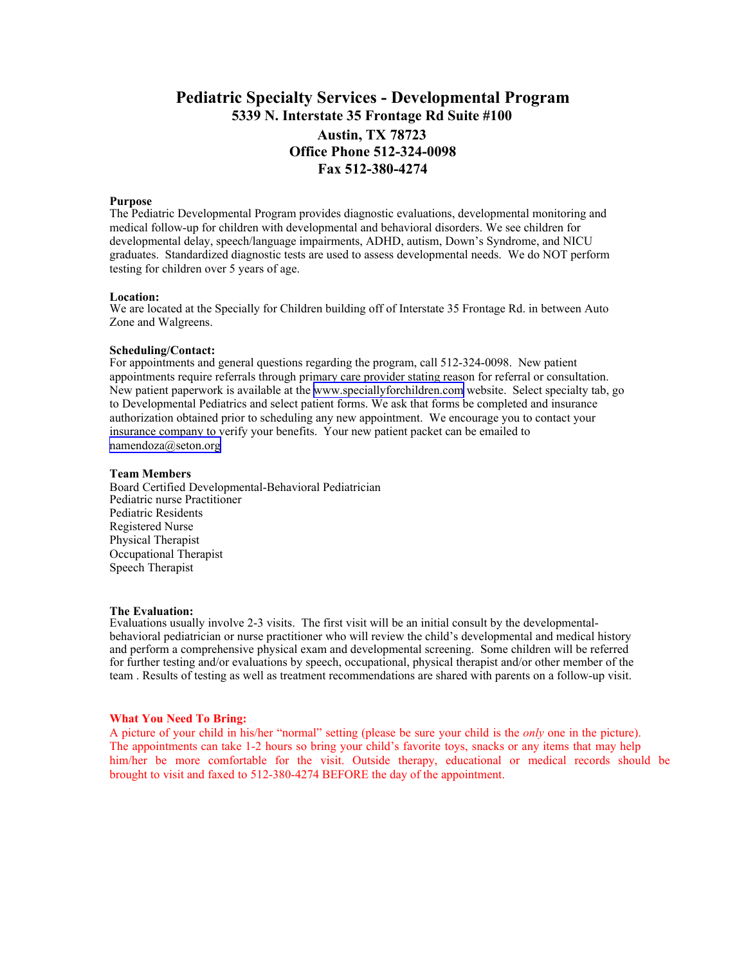# **Pediatric Specialty Services - Developmental Program 5339 N. Interstate 35 Frontage Rd Suite #100 Austin, TX 78723 Office Phone 512-324-0098 Fax 512-380-4274**

#### **Purpose**

The Pediatric Developmental Program provides diagnostic evaluations, developmental monitoring and medical follow-up for children with developmental and behavioral disorders. We see children for developmental delay, speech/language impairments, ADHD, autism, Down's Syndrome, and NICU graduates. Standardized diagnostic tests are used to assess developmental needs. We do NOT perform testing for children over 5 years of age.

### **Location:**

We are located at the Specially for Children building off of Interstate 35 Frontage Rd. in between Auto Zone and Walgreens.

#### **Scheduling/Contact:**

For appointments and general questions regarding the program, call 512-324-0098. New patient appointments require referrals through primary care provider stating reason for referral or consultation. New patient paperwork is available at the [www.speciallyforchildren.com](http://www.speciallyforchildren.com/home.asp) website. Select specialty tab, go to Developmental Pediatrics and select patient forms. We ask that forms be completed and insurance authorization obtained prior to scheduling any new appointment. We encourage you to contact your insurance company to verify your benefits. Your new patient packet can be emailed to [namendoza@seton.org](mailto:namendoza@seton.org)

#### **Team Members**

Board Certified Developmental-Behavioral Pediatrician Pediatric nurse Practitioner Pediatric Residents Registered Nurse Physical Therapist Occupational Therapist Speech Therapist

#### **The Evaluation:**

Evaluations usually involve 2-3 visits. The first visit will be an initial consult by the developmentalbehavioral pediatrician or nurse practitioner who will review the child's developmental and medical history and perform a comprehensive physical exam and developmental screening. Some children will be referred for further testing and/or evaluations by speech, occupational, physical therapist and/or other member of the team . Results of testing as well as treatment recommendations are shared with parents on a follow-up visit.

#### **What You Need To Bring:**

A picture of your child in his/her "normal" setting (please be sure your child is the *only* one in the picture). The appointments can take 1-2 hours so bring your child's favorite toys, snacks or any items that may help him/her be more comfortable for the visit. Outside therapy, educational or medical records should be brought to visit and faxed to 512-380-4274 BEFORE the day of the appointment.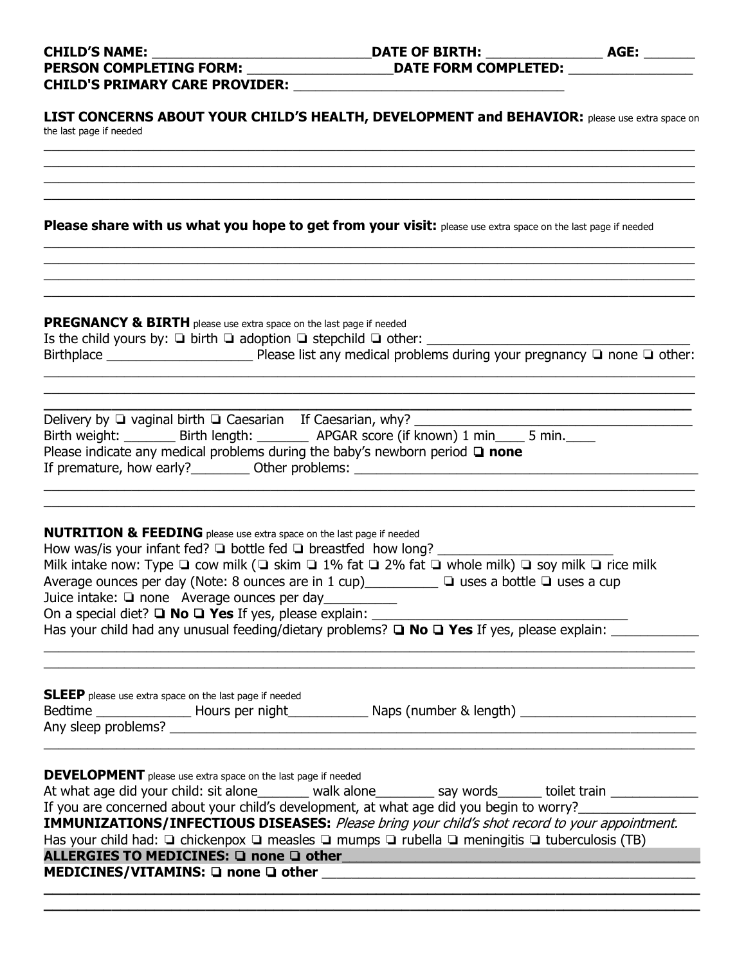| the last page if needed                                                                                                                                                                                                                                                                                                                                                                                                                                                                                                                                                                                                         |
|---------------------------------------------------------------------------------------------------------------------------------------------------------------------------------------------------------------------------------------------------------------------------------------------------------------------------------------------------------------------------------------------------------------------------------------------------------------------------------------------------------------------------------------------------------------------------------------------------------------------------------|
|                                                                                                                                                                                                                                                                                                                                                                                                                                                                                                                                                                                                                                 |
|                                                                                                                                                                                                                                                                                                                                                                                                                                                                                                                                                                                                                                 |
| Please share with us what you hope to get from your visit: please use extra space on the last page if needed                                                                                                                                                                                                                                                                                                                                                                                                                                                                                                                    |
| <b>PREGNANCY &amp; BIRTH</b> please use extra space on the last page if needed                                                                                                                                                                                                                                                                                                                                                                                                                                                                                                                                                  |
| Is the child yours by: $\Box$ birth $\Box$ adoption $\Box$ stepchild $\Box$ other:                                                                                                                                                                                                                                                                                                                                                                                                                                                                                                                                              |
| Birth weight: ________ Birth length: ________ APGAR score (if known) 1 min ____ 5 min. ____<br>Please indicate any medical problems during the baby's newborn period $\Box$ none                                                                                                                                                                                                                                                                                                                                                                                                                                                |
| <b>NUTRITION &amp; FEEDING</b> please use extra space on the last page if needed<br>How was/is your infant fed? $\square$ bottle fed $\square$ breastfed how long?<br>Milk intake now: Type $\Box$ cow milk ( $\Box$ skim $\Box$ 1% fat $\Box$ 2% fat $\Box$ whole milk) $\Box$ soy milk $\Box$ rice milk<br>Average ounces per day (Note: 8 ounces are in 1 cup)___________ □ uses a bottle □ uses a cup<br>Juice intake: □ none Average ounces per day___________<br>Has your child had any unusual feeding/dietary problems? $\Box$ No $\Box$ Yes If yes, please explain:                                                    |
| <b>SLEEP</b> please use extra space on the last page if needed<br>Bedtime ____________________Hours per night____________________Naps (number & length) ________________________                                                                                                                                                                                                                                                                                                                                                                                                                                                |
| <b>DEVELOPMENT</b> please use extra space on the last page if needed<br>At what age did your child: sit alone_______ walk alone________ say words______ toilet train ____________<br>If you are concerned about your child's development, at what age did you begin to worry?<br>IMMUNIZATIONS/INFECTIOUS DISEASES: Please bring your child's shot record to your appointment.<br>Has your child had: $\Box$ chickenpox $\Box$ measles $\Box$ mumps $\Box$ rubella $\Box$ meningitis $\Box$ tuberculosis (TB)<br>ALLERGIES TO MEDICINES: □ none □ other Network and Network and Network and Network and Network and Network and |

**\_\_\_\_\_\_\_\_\_\_\_\_\_\_\_\_\_\_\_\_\_\_\_\_\_\_\_\_\_\_\_\_\_\_\_\_\_\_\_\_\_\_\_\_\_\_\_\_\_\_\_\_\_\_\_\_\_\_\_\_\_\_\_\_\_\_\_\_\_\_\_\_\_\_\_\_\_**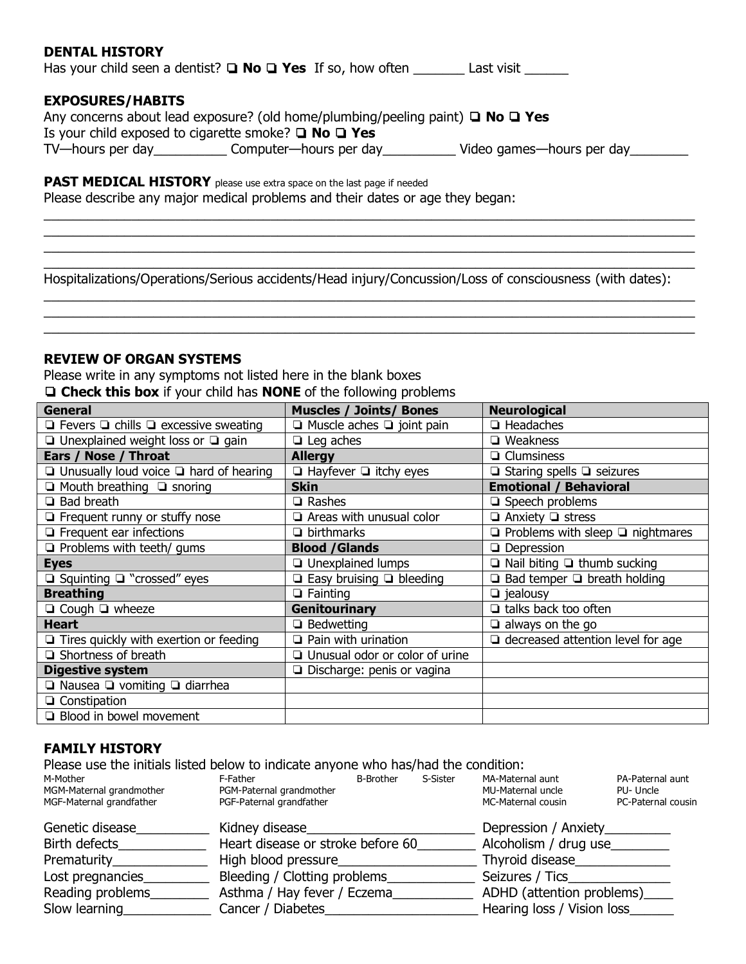## **DENTAL HISTORY**

Has your child seen a dentist? **□ No □ Yes** If so, how often \_\_\_\_\_\_\_\_ Last visit \_\_\_\_\_\_\_

## **EXPOSURES/HABITS**

|                                                                | Any concerns about lead exposure? (old home/plumbing/peeling paint) $\Box$ No $\Box$ Yes |                           |
|----------------------------------------------------------------|------------------------------------------------------------------------------------------|---------------------------|
| Is your child exposed to cigarette smoke? $\Box$ No $\Box$ Yes |                                                                                          |                           |
| TV-hours per day                                               | Computer—hours per day                                                                   | Video games—hours per day |

# **PAST MEDICAL HISTORY** please use extra space on the last page if needed

Please describe any major medical problems and their dates or age they began:

Hospitalizations/Operations/Serious accidents/Head injury/Concussion/Loss of consciousness (with dates):

 $\_$  , and the set of the set of the set of the set of the set of the set of the set of the set of the set of the set of the set of the set of the set of the set of the set of the set of the set of the set of the set of th  $\_$  , and the set of the set of the set of the set of the set of the set of the set of the set of the set of the set of the set of the set of the set of the set of the set of the set of the set of the set of the set of th  $\_$  , and the set of the set of the set of the set of the set of the set of the set of the set of the set of the set of the set of the set of the set of the set of the set of the set of the set of the set of the set of th

 $\_$  , and the set of the set of the set of the set of the set of the set of the set of the set of the set of the set of the set of the set of the set of the set of the set of the set of the set of the set of the set of th  $\_$  , and the set of the set of the set of the set of the set of the set of the set of the set of the set of the set of the set of the set of the set of the set of the set of the set of the set of the set of the set of th  $\_$  , and the set of the set of the set of the set of the set of the set of the set of the set of the set of the set of the set of the set of the set of the set of the set of the set of the set of the set of the set of th  $\_$  , and the set of the set of the set of the set of the set of the set of the set of the set of the set of the set of the set of the set of the set of the set of the set of the set of the set of the set of the set of th

## **REVIEW OF ORGAN SYSTEMS**

Please write in any symptoms not listed here in the blank boxes ❏ **Check this box** if your child has **NONE** of the following problems

| General                                               | <b>Muscles / Joints/ Bones</b>        | <b>Neurological</b>                          |
|-------------------------------------------------------|---------------------------------------|----------------------------------------------|
| $\Box$ Fevers $\Box$ chills $\Box$ excessive sweating | $\Box$ Muscle aches $\Box$ joint pain | $\Box$ Headaches                             |
| $\Box$ Unexplained weight loss or $\Box$ gain         | $\Box$ Leg aches                      | $\Box$ Weakness                              |
| Ears / Nose / Throat                                  | <b>Allergy</b>                        | $\Box$ Clumsiness                            |
| $\Box$ Unusually loud voice $\Box$ hard of hearing    | $\Box$ Hayfever $\Box$ itchy eyes     | $\Box$ Staring spells $\Box$ seizures        |
| $\Box$ Mouth breathing $\Box$ snoring                 | <b>Skin</b>                           | <b>Emotional / Behavioral</b>                |
| $\Box$ Bad breath                                     | $\Box$ Rashes                         | $\Box$ Speech problems                       |
| $\Box$ Frequent runny or stuffy nose                  | $\Box$ Areas with unusual color       | $\Box$ Anxiety $\Box$ stress                 |
| $\Box$ Frequent ear infections                        | $\Box$ birthmarks                     | $\Box$ Problems with sleep $\Box$ nightmares |
| $\Box$ Problems with teeth/ gums                      | <b>Blood /Glands</b>                  | $\Box$ Depression                            |
| <b>Eyes</b>                                           | <b>Q</b> Unexplained lumps            | $\Box$ Nail biting $\Box$ thumb sucking      |
| $\Box$ Squinting $\Box$ "crossed" eyes                | $\Box$ Easy bruising $\Box$ bleeding  | $\Box$ Bad temper $\Box$ breath holding      |
| <b>Breathing</b>                                      | $\Box$ Fainting                       | $\Box$ jealousy                              |
| $\Box$ Cough $\Box$ wheeze                            | <b>Genitourinary</b>                  | $\Box$ talks back too often                  |
| Heart                                                 | $\Box$ Bedwetting                     | $\Box$ always on the go                      |
| $\Box$ Tires quickly with exertion or feeding         | $\Box$ Pain with urination            | $\Box$ decreased attention level for age     |
| $\Box$ Shortness of breath                            | □ Unusual odor or color of urine      |                                              |
| <b>Digestive system</b>                               | □ Discharge: penis or vagina          |                                              |
| $\Box$ Nausea $\Box$ vomiting $\Box$ diarrhea         |                                       |                                              |
| $\Box$ Constipation                                   |                                       |                                              |
| <b>Blood in bowel movement</b>                        |                                       |                                              |

# **FAMILY HISTORY**

Please use the initials listed below to indicate anyone who has/had the condition:<br>MAMother S-Sister MA-Materi M-Mother The F-Father E-Father B-Brother S-Sister MA-Maternal aunt PA-Paternal aunt

| וסווטטויורויו            | -ı au ıcı                | <u>D-DIULICI</u> | וסוכוכ־כ | i'iA-i'iatchigi aunt | <b>FATALE HIGH QUIL</b> |
|--------------------------|--------------------------|------------------|----------|----------------------|-------------------------|
| MGM-Maternal grandmother | PGM-Paternal grandmother |                  |          | MU-Maternal uncle    | PU-Uncle                |
| MGF-Maternal grandfather | PGF-Paternal grandfather |                  |          | MC-Maternal cousin   | PC-Paternal cousin      |
|                          |                          |                  |          |                      |                         |

| Genetic disease   | Kidney disease                    | Depression / Anxiety           |
|-------------------|-----------------------------------|--------------------------------|
| Birth defects     | Heart disease or stroke before 60 | Alcoholism / drug use          |
| Prematurity_____  | High blood pressure               | Thyroid disease                |
| Lost pregnancies_ | Bleeding / Clotting problems      | Seizures / Tics                |
| Reading problems  | Asthma / Hay fever / Eczema       | ADHD (attention problems)_____ |
| Slow learning     | Cancer / Diabetes                 | Hearing loss / Vision loss     |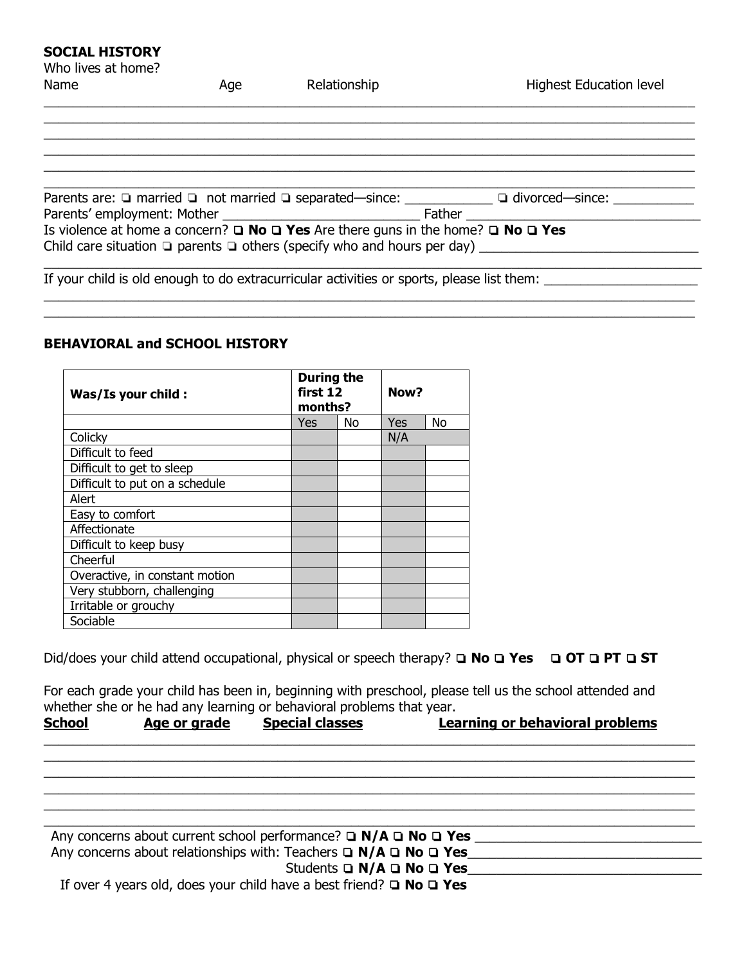## **SOCIAL HISTORY**

| Who lives at home? |     |                                                                                                      |                                                                                                   |
|--------------------|-----|------------------------------------------------------------------------------------------------------|---------------------------------------------------------------------------------------------------|
| Name               | Age | Relationship                                                                                         | <b>Highest Education level</b>                                                                    |
|                    |     |                                                                                                      |                                                                                                   |
|                    |     |                                                                                                      |                                                                                                   |
|                    |     |                                                                                                      |                                                                                                   |
|                    |     |                                                                                                      |                                                                                                   |
|                    |     |                                                                                                      |                                                                                                   |
|                    |     |                                                                                                      | Parents are: □ married □ not married □ separated—since: ___________ □ divorced—since: ___________ |
|                    |     |                                                                                                      |                                                                                                   |
|                    |     | Is violence at home a concern? $\Box$ No $\Box$ Yes Are there guns in the home? $\Box$ No $\Box$ Yes |                                                                                                   |
|                    |     | Child care situation $\Box$ parents $\Box$ others (specify who and hours per day)                    |                                                                                                   |
|                    |     |                                                                                                      |                                                                                                   |
|                    |     | If your child is old enough to do extracurricular activities or sports, please list them:            |                                                                                                   |
|                    |     |                                                                                                      |                                                                                                   |

 $\_$  , and the set of the set of the set of the set of the set of the set of the set of the set of the set of the set of the set of the set of the set of the set of the set of the set of the set of the set of the set of th

## **BEHAVIORAL and SCHOOL HISTORY**

| Was/Is your child :            | <b>During the</b><br>first 12<br>months? |    | Now? |    |
|--------------------------------|------------------------------------------|----|------|----|
|                                | Yes                                      | No | Yes  | No |
| Colicky                        |                                          |    | N/A  |    |
| Difficult to feed              |                                          |    |      |    |
| Difficult to get to sleep      |                                          |    |      |    |
| Difficult to put on a schedule |                                          |    |      |    |
| Alert                          |                                          |    |      |    |
| Easy to comfort                |                                          |    |      |    |
| Affectionate                   |                                          |    |      |    |
| Difficult to keep busy         |                                          |    |      |    |
| Cheerful                       |                                          |    |      |    |
| Overactive, in constant motion |                                          |    |      |    |
| Very stubborn, challenging     |                                          |    |      |    |
| Irritable or grouchy           |                                          |    |      |    |
| Sociable                       |                                          |    |      |    |

Did/does your child attend occupational, physical or speech therapy? ❏ **No** ❏ **Yes** ❏ **OT** ❏ **PT** ❏ **ST**

For each grade your child has been in, beginning with preschool, please tell us the school attended and whether she or he had any learning or behavioral problems that year.

| <b>School</b><br>Learning or behavioral problems<br><b>Special classes</b><br>Age or grade |  |
|--------------------------------------------------------------------------------------------|--|
|--------------------------------------------------------------------------------------------|--|

 $\_$  , and the set of the set of the set of the set of the set of the set of the set of the set of the set of the set of the set of the set of the set of the set of the set of the set of the set of the set of the set of th  $\_$  , and the set of the set of the set of the set of the set of the set of the set of the set of the set of the set of the set of the set of the set of the set of the set of the set of the set of the set of the set of th  $\_$  , and the set of the set of the set of the set of the set of the set of the set of the set of the set of the set of the set of the set of the set of the set of the set of the set of the set of the set of the set of th  $\_$  , and the set of the set of the set of the set of the set of the set of the set of the set of the set of the set of the set of the set of the set of the set of the set of the set of the set of the set of the set of th

| Any concerns about current school performance? $\Box$ N/A $\Box$ No $\Box$ Yes  |  |
|---------------------------------------------------------------------------------|--|
| Any concerns about relationships with: Teachers $\Box$ N/A $\Box$ No $\Box$ Yes |  |
| Students $\Box$ N/A $\Box$ No $\Box$ Yes                                        |  |
| If over 4 years old, does your child have a best friend? $\Box$ No $\Box$ Yes   |  |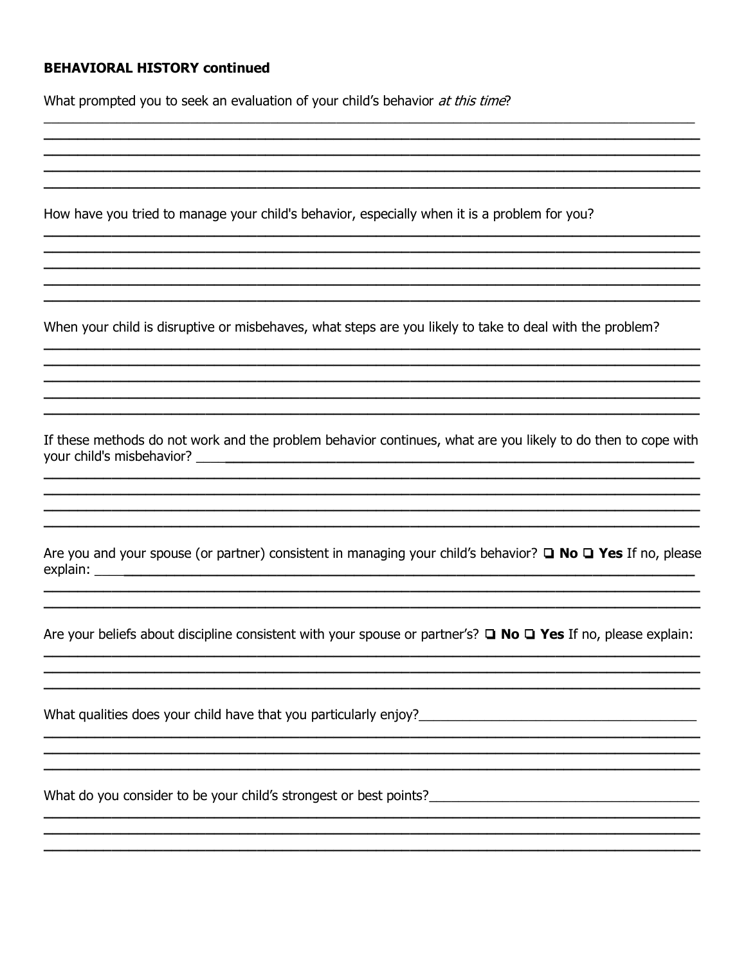## **BEHAVIORAL HISTORY continued**

What prompted you to seek an evaluation of your child's behavior at this time?

How have you tried to manage your child's behavior, especially when it is a problem for you?

When your child is disruptive or misbehaves, what steps are you likely to take to deal with the problem?

If these methods do not work and the problem behavior continues, what are you likely to do then to cope with 

Are you and your spouse (or partner) consistent in managing your child's behavior?  $\Box$  No  $\Box$  Yes If no, please 

Are your beliefs about discipline consistent with your spouse or partner's?  $\Box$  No  $\Box$  Yes If no, please explain:

What qualities does your child have that you particularly enjoy?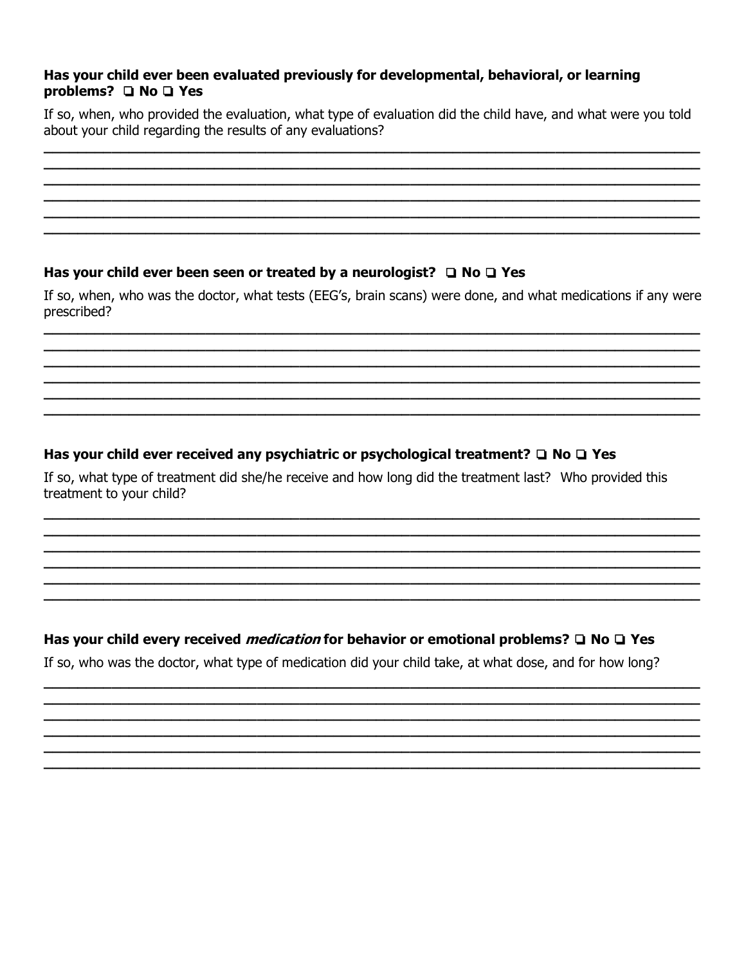## Has your child ever been evaluated previously for developmental, behavioral, or learning problems?  $\Box$  No  $\Box$  Yes

If so, when, who provided the evaluation, what type of evaluation did the child have, and what were you told about your child regarding the results of any evaluations?

# Has your child ever been seen or treated by a neurologist?  $\Box$  No  $\Box$  Yes

If so, when, who was the doctor, what tests (EEG's, brain scans) were done, and what medications if any were prescribed?

# Has your child ever received any psychiatric or psychological treatment?  $\Box$  No  $\Box$  Yes

If so, what type of treatment did she/he receive and how long did the treatment last? Who provided this treatment to your child?

# Has your child every received *medication* for behavior or emotional problems?  $\Box$  No  $\Box$  Yes

If so, who was the doctor, what type of medication did your child take, at what dose, and for how long?